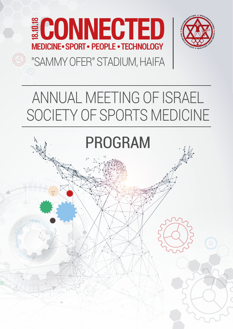



## "SAMMY OFER" STADIUM, HAIFA

## ANNUAL MEETING OF ISRAEL SOCIETY OF SPORTS MEDICINE

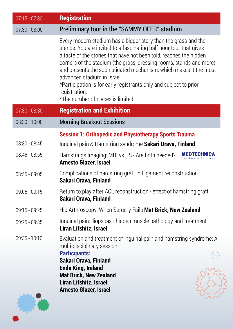| $07:15 - 07:30$ | <b>Registration</b>                                                                                                                                                                                                                                                                                                                                                                                                                                                                                              |
|-----------------|------------------------------------------------------------------------------------------------------------------------------------------------------------------------------------------------------------------------------------------------------------------------------------------------------------------------------------------------------------------------------------------------------------------------------------------------------------------------------------------------------------------|
| $07:30 - 08:00$ | Preliminary tour in the "SAMMY OFER" stadium                                                                                                                                                                                                                                                                                                                                                                                                                                                                     |
|                 | Every modern stadium has a bigger story than the grass and the<br>stands. You are invited to a fascinating half hour tour that gives<br>a taste of the stories that have not been told, reaches the hidden<br>corners of the stadium (the grass, dressing rooms, stands and more)<br>and presents the sophisticated mechanism, which makes it the most<br>advanced stadium in Israel.<br>*Participation is for early registrants only and subject to prior<br>registration.<br>*The number of places is limited. |
| $07:30 - 08:30$ | <b>Registration and Exhibition</b>                                                                                                                                                                                                                                                                                                                                                                                                                                                                               |
| $08:30 - 10:00$ | <b>Morning Breakout Sessions</b>                                                                                                                                                                                                                                                                                                                                                                                                                                                                                 |
|                 | <b>Session 1: Orthopedic and Physiotherapy Sports Trauma</b>                                                                                                                                                                                                                                                                                                                                                                                                                                                     |
| $08:30 - 08:45$ | Inquinal pain & Hamstring syndrome Sakari Orava, Finland                                                                                                                                                                                                                                                                                                                                                                                                                                                         |
| $08:45 - 08:55$ | <b>MEDTECHNICA</b><br>Hamstrings Imaging: MRI vs US - Are both needed?<br>Arnesto Glazer, Israel                                                                                                                                                                                                                                                                                                                                                                                                                 |
| $08:55 - 09:05$ | Complications of hamstring graft in Ligament reconstruction<br>Sakari Orava, Finland                                                                                                                                                                                                                                                                                                                                                                                                                             |
| $09:05 - 09:15$ | Return to play after ACL reconstruction - effect of hamstring graft<br>Sakari Orava, Finland                                                                                                                                                                                                                                                                                                                                                                                                                     |
| 09:15 - 09:25   | Hip Arthroscopy: When Surgery Fails Mat Brick, New Zealand                                                                                                                                                                                                                                                                                                                                                                                                                                                       |
| $09:25 - 09:35$ | Inguinal pain: iliopsoas - hidden muscle pathology and treatment<br>Liran Lifshitz, Israel                                                                                                                                                                                                                                                                                                                                                                                                                       |
| $09:35 - 10:10$ | Evaluation and treatment of inguinal pain and hamstring syndrome: A<br>multi-disciplinary session                                                                                                                                                                                                                                                                                                                                                                                                                |
|                 | <b>Participants:</b><br>Sakari Orava, Finland                                                                                                                                                                                                                                                                                                                                                                                                                                                                    |
|                 | <b>Enda King, Ireland</b>                                                                                                                                                                                                                                                                                                                                                                                                                                                                                        |
|                 | <b>Mat Brick, New Zealand</b><br>Liran Lifshitz, Israel                                                                                                                                                                                                                                                                                                                                                                                                                                                          |
|                 | <b>Arnesto Glazer, Israel</b>                                                                                                                                                                                                                                                                                                                                                                                                                                                                                    |

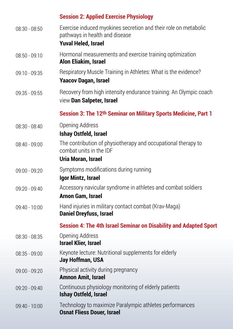|                 | <b>Session 2: Applied Exercise Physiology</b>                                                                                   |
|-----------------|---------------------------------------------------------------------------------------------------------------------------------|
| $08:30 - 08:50$ | Exercise induced myokines secretion and their role on metabolic<br>pathways in health and disease<br><b>Yuval Heled, Israel</b> |
| $08:50 - 09:10$ | Hormonal measurements and exercise training optimization<br>Alon Eliakim, Israel                                                |
| $09:10 - 09:35$ | Respiratory Muscle Training in Athletes: What is the evidence?<br><b>Yaacov Dagan, Israel</b>                                   |
| 09:35 - 09:55   | Recovery from high intensity endurance training: An Olympic coach<br>view Dan Salpeter, Israel                                  |
|                 | Session 3: The 12th Seminar on Military Sports Medicine, Part 1                                                                 |
| $08:30 - 08:40$ | Opening Address<br>Ishay Ostfeld, Israel                                                                                        |
| $08:40 - 09:00$ | The contribution of physiotherapy and occupational therapy to<br>combat units in the IDF<br>Uria Moran, Israel                  |
| $09:00 - 09:20$ | Symptoms modifications during running<br>Igor Mintz, Israel                                                                     |
| 09:20 - 09:40   | Accessory navicular syndrome in athletes and combat soldiers<br>Arnon Gam, Israel                                               |
| 09:40 - 10:00   | Hand injuries in military contact combat (Krav-Maga)<br><b>Daniel Dreyfuss, Israel</b>                                          |
|                 | <b>Session 4: The 4th Israel Seminar on Disability and Adapted Sport</b>                                                        |
| 08:30 - 08:35   | Opening Address<br><b>Israel Klier, Israel</b>                                                                                  |
| $08:35 - 09:00$ | Keynote lecture: Nutritional supplements for elderly<br>Jay Hoffman, USA                                                        |
| 09:00 - 09:20   | Physical activity during pregnancy<br><b>Amnon Amit, Israel</b>                                                                 |
| 09:20 - 09:40   | Continuous physiology monitoring of elderly patients<br>Ishay Ostfeld, Israel                                                   |
| 09:40 - 10:00   | Technology to maximize Paralympic athletes performances<br><b>Osnat Fliess Douer, Israel</b>                                    |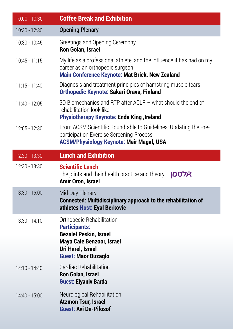| $10:00 - 10:30$ | <b>Coffee Break and Exhibition</b>                                                                                                                                        |
|-----------------|---------------------------------------------------------------------------------------------------------------------------------------------------------------------------|
| 10:30 - 12:30   | <b>Opening Plenary</b>                                                                                                                                                    |
| $10:30 - 10:45$ | Greetings and Opening Ceremony<br>Ron Golan, Israel                                                                                                                       |
| $10:45 - 11:15$ | My life as a professional athlete, and the influence it has had on my<br>career as an orthopedic surgeon<br><b>Main Conference Keynote: Mat Brick, New Zealand</b>        |
| $11:15 - 11:40$ | Diagnosis and treatment principles of hamstring muscle tears<br><b>Orthopedic Keynote: Sakari Orava, Finland</b>                                                          |
| $11:40 - 12:05$ | 3D Biomechanics and RTP after ACLR $-$ what should the end of<br>rehabilitation look like<br><b>Physiotherapy Keynote: Enda King, Ireland</b>                             |
| 12:05 - 12:30   | From ACSM Scientific Roundtable to Guidelines: Updating the Pre-<br>participation Exercise Screening Process<br><b>ACSM/Physiology Keynote: Meir Magal, USA</b>           |
| 12:30 - 13:30   | <b>Lunch and Exhibition</b>                                                                                                                                               |
| 12:30 - 13:30   | <b>Scientific Lunch</b><br>אלטמן<br>The joints and their health practice and theory<br>Amir Oron, Israel                                                                  |
| 13:30 - 15:00   | Mid-Day Plenary<br><b>Connected: Multidisciplinary approach to the rehabilitation of</b><br>athletes Host: Eyal Berkovic                                                  |
| 13:30 - 14:10   | Orthopedic Rehabilitation<br><b>Participants:</b><br><b>Bezalel Peskin, Israel</b><br><b>Maya Cale Benzoor, Israel</b><br>Uri Harel, Israel<br><b>Guest: Maor Buzaglo</b> |
| 14:10 - 14:40   | Cardiac Rehabilitation<br><b>Ron Golan, Israel</b><br><b>Guest: Elyaniv Barda</b>                                                                                         |
| 14:40 - 15:00   | Neurological Rehabilitation<br><b>Atzmon Tsur, Israel</b><br><b>Guest: Avi De-Pilosof</b>                                                                                 |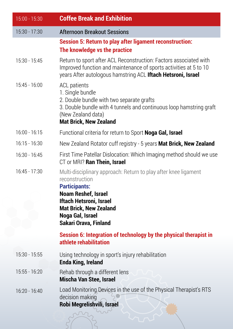| 15:00 - 15:30   | <b>Coffee Break and Exhibition</b>                                                                                                                                                                                                        |
|-----------------|-------------------------------------------------------------------------------------------------------------------------------------------------------------------------------------------------------------------------------------------|
| 15:30 - 17:30   | <b>Afternoon Breakout Sessions</b>                                                                                                                                                                                                        |
|                 | <b>Session 5: Return to play after ligament reconstruction:</b><br>The knowledge vs the practice                                                                                                                                          |
| 15:30 - 15:45   | Return to sport after ACL Reconstruction: Factors associated with<br>Improved function and maintenance of sports activities at 5 to 10<br>years After autologous hamstring ACL Iftach Hetsroni, Israel                                    |
| 15:45 - 16:00   | <b>ACL</b> patients<br>1. Single bundle<br>2. Double bundle with two separate grafts<br>3. Double bundle with 4 tunnels and continuous loop hamstring graft<br>(New Zealand data)<br><b>Mat Brick, New Zealand</b>                        |
| $16:00 - 16:15$ | Functional criteria for return to Sport Noga Gal, Israel                                                                                                                                                                                  |
| $16:15 - 16:30$ | New Zealand Rotator cuff registry - 5 years Mat Brick, New Zealand                                                                                                                                                                        |
| 16:30 - 16:45   | First Time Patellar Dislocation: Which Imaging method should we use<br>CT or MRI? Ran Thein, Israel                                                                                                                                       |
| 16:45 - 17:30   | Multi-disciplinary approach: Return to play after knee ligament<br>reconstruction<br><b>Participants:</b><br>Noam Reshef, Israel<br>Iftach Hetsroni, Israel<br><b>Mat Brick, New Zealand</b><br>Noga Gal, Israel<br>Sakari Orava, Finland |
|                 | Session 6: Integration of technology by the physical therapist in<br>athlete rehabilitation                                                                                                                                               |
| 15:30 - 15:55   | Using technology in sport's injury rehabilitation<br>Enda King, Ireland                                                                                                                                                                   |
| 15:55 - 16:20   | Rehab through a different lens<br>Mischa Van Stee, Israel                                                                                                                                                                                 |
| 16:20 - 16:40   | Load Monitoring Devices in the use of the Physical Therapist's RTS<br>decision making<br>Robi Megrelishvili, İsrael                                                                                                                       |

 $\tilde{\zeta}$ 

 $\sum_{i=1}^{n}$